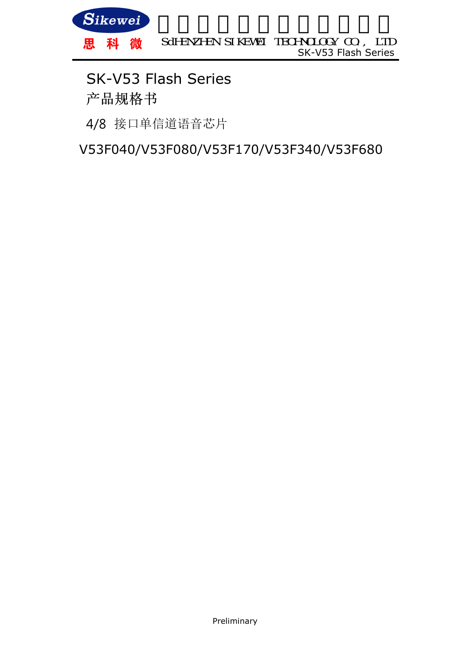

## 产品规格书 SK-V53 Flash Series

4/8 接口单信道语音芯片

V53F040/V53F080/V53F170/V53F340/V53F680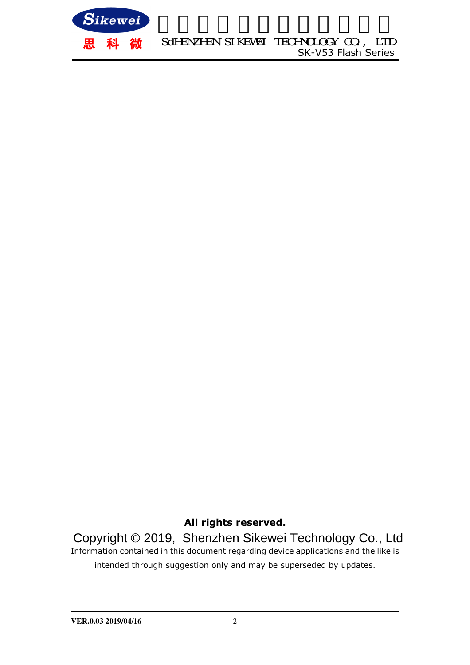

**All rights reserved.** 

Information contained in this document regarding device applications and the like is intended through suggestion only and may be superseded by updates. Copyright © 2019, Shenzhen Sikewei Technology Co., Ltd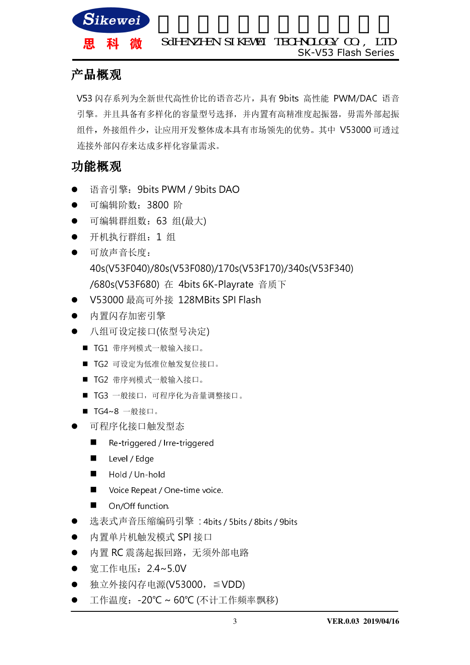

#### 产品概观

V53 闪存系列为全新世代高性价比的语音芯片,具有 9bits 高性能 PWM/DAC 语音 引擎。并且具备有多样化的容量型号选择,并内置有高精准度起振器,毋需外部起振 组件,外接组件少,让应用开发整体成本具有市场领先的优势。其中 V53000 可透过 连接外部闪存来达成多样化容量需求。

#### 功能概观

- 语音引擎:9bits PWM / 9bits DAO
- 可编辑阶数:3800 阶
- 可编辑群组数:63 组(最大)
- 开机执行群组:1 组
- 可放声音长度: 40s(V53F040)/80s(V53F080)/170s(V53F170)/340s(V53F340) /680s(V53F680) 在 4bits 6K-Playrate 音质下
- V53000 最高可外接 128MBits SPI Flash
- 内置闪存加密引擎
- 八组可设定接口(依型号决定)
	- TG1 带序列模式一般输入接口。
	- TG2 可设定为低准位触发复位接口。
	- TG2 带序列模式一般输入接口。
	- TG3 一般接口,可程序化为音量调整接口。
	- TG4~8 一般接口。
- 可程序化接口触发型态
	- Re-triggered / Irre-triggered
	- **Level** / Edge
	- Hold / Un-hold
	- Voice Repeat / One-time voice.
	- On/Off function.
- 选表式声音压缩编码引擎 : 4bits / 5bits / 8bits / 9bits
- 内置单片机触发模式 SPI 接口
- 内置 RC 震荡起振回路, 无须外部电路
- 宽工作电压:2.4~5.0V
- 独立外接闪存电源(V53000,≦VDD)
- 工作温度: -20℃ ~ 60℃ (不计工作频率飘移)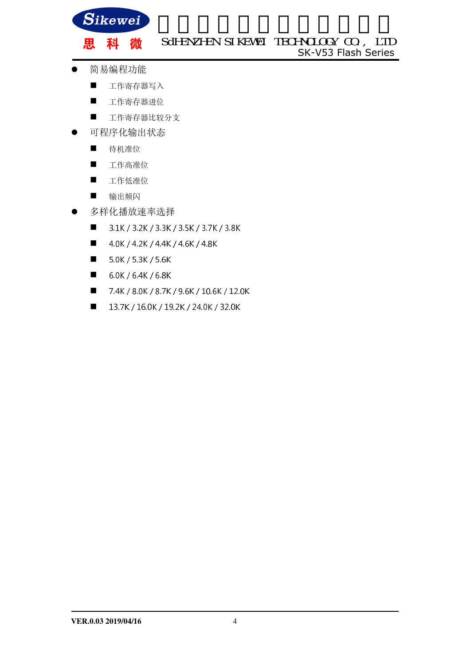

黒

SK-V53 Flash Series SdHENZHEN SIKEWEI TECHNOLOGY CO., LTD

- 简易编程功能
	- 工作寄存器写入

科 微

- 工作寄存器进位
- 工作寄存器比较分支
- 可程序化输出状态
	- 待机准位
	- 工作高准位
	- 工作低准位
	- 输出频闪
- 多样化播放速率选择
	- 3.1K / 3.2K / 3.3K / 3.5K / 3.7K / 3.8K
	- $\blacksquare$  4.0K / 4.2K / 4.4K / 4.6K / 4.8K
	- $\blacksquare$  5.0K/5.3K/5.6K
	- $\blacksquare$  6.0K / 6.4K / 6.8K
	- 7.4K / 8.0K / 8.7K / 9.6K / 10.6K / 12.0K
	- $13.7K / 16.0K / 19.2K / 24.0K / 32.0K$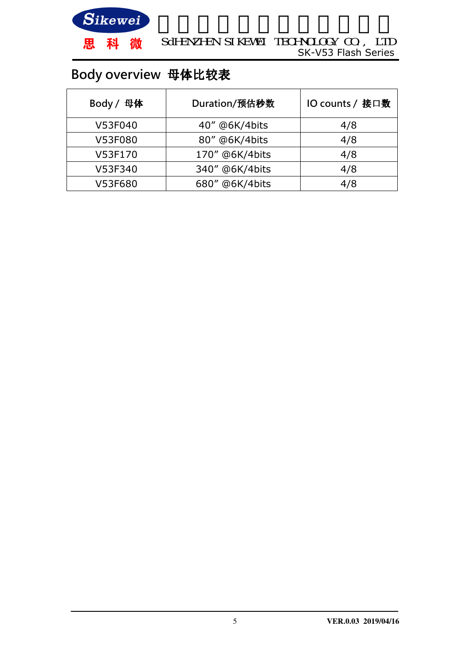

## Body overview 母体比较表

| Body / 母体 | Duration/预估秒数  | IO counts / 接口数 |
|-----------|----------------|-----------------|
| V53F040   | 40" @6K/4bits  | 4/8             |
| V53F080   | 80" @6K/4bits  | 4/8             |
| V53F170   | 170" @6K/4bits | 4/8             |
| V53F340   | 340" @6K/4bits | 4/8             |
| V53F680   | 680" @6K/4bits | 4/8             |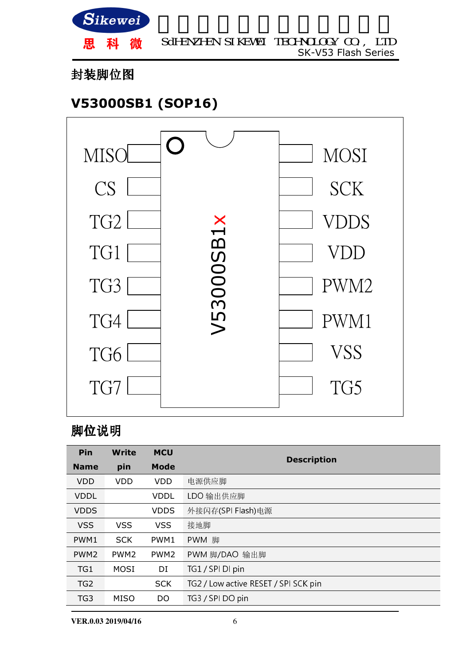

#### 封装脚位图

## **V53000SB1 (SOP16)**



#### 脚位说明

| Pin              | <b>Write</b>     | <b>MCU</b>       |                                      |  |
|------------------|------------------|------------------|--------------------------------------|--|
| <b>Name</b>      | pin              | <b>Mode</b>      | <b>Description</b>                   |  |
| <b>VDD</b>       | <b>VDD</b>       | <b>VDD</b>       | 电源供应脚                                |  |
| <b>VDDL</b>      |                  | <b>VDDL</b>      | LDO 输出供应脚                            |  |
| <b>VDDS</b>      |                  | <b>VDDS</b>      | 外接闪存(SPI Flash)电源                    |  |
| <b>VSS</b>       | <b>VSS</b>       | <b>VSS</b>       | 接地脚                                  |  |
| PWM1             | <b>SCK</b>       | PWM1             | PWM 脚                                |  |
| PWM <sub>2</sub> | PWM <sub>2</sub> | PWM <sub>2</sub> | PWM 脚/DAO 输出脚                        |  |
| TG1              | <b>MOSI</b>      | DI               | TG1 / SPI DI pin                     |  |
| TG <sub>2</sub>  |                  | <b>SCK</b>       | TG2 / Low active RESET / SPI SCK pin |  |
| TG3              | <b>MISO</b>      | DO               | TG3 / SPI DO pin                     |  |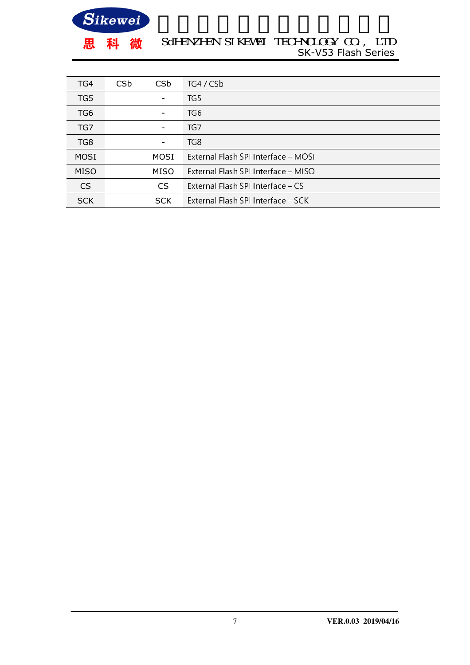

#### SK-V53 Flash Series SdHENZHEN SIKEWEI TECHNOLOGY CO., LTD

| TG4             | CS <sub>b</sub>                                  | CS <sub>b</sub> | TG4 / CSb |
|-----------------|--------------------------------------------------|-----------------|-----------|
| TG5             |                                                  |                 | TG5       |
| TG <sub>6</sub> |                                                  |                 | TG6       |
| TG7             |                                                  | ۰               | TG7       |
| TG8             |                                                  | -               | TG8       |
| MOSI            | External Elash SPI Interface – MOSI<br>MOSI      |                 |           |
| MISO            | External Flash SPI Interface - MISO<br>MISO      |                 |           |
| CS              | External Flash SPI Interface - CS<br>CS          |                 |           |
| <b>SCK</b>      | External Flash SPI Interface - SCK<br><b>SCK</b> |                 |           |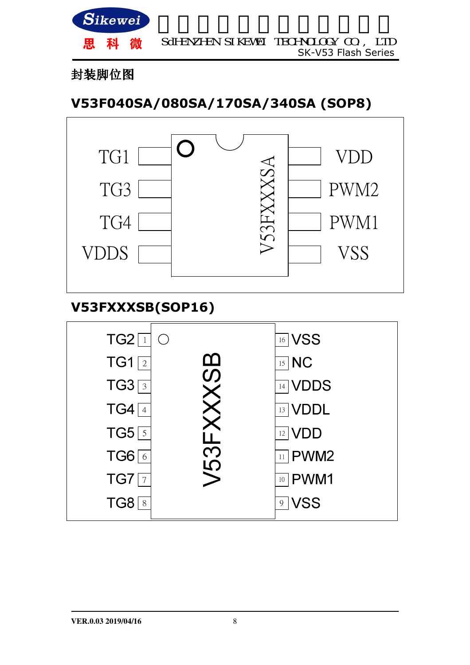

#### 封装脚位图

## **V53F040SA/080SA/170SA/340SA (SOP8)**



### **V53FXXXSB(SOP16)**

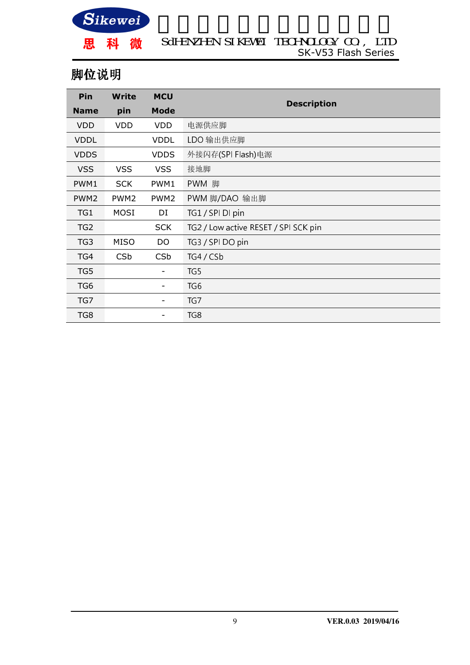

SK-V53 Flash Series SdHENZHEN SIKEWEI TECHNOLOGY CO., LTD

### 脚位说明

| Pin              | Write                                 | <b>MCU</b>             |                                      |  |
|------------------|---------------------------------------|------------------------|--------------------------------------|--|
| <b>Name</b>      | pin                                   | <b>Mode</b>            | <b>Description</b>                   |  |
| <b>VDD</b>       | <b>VDD</b>                            | <b>VDD</b>             | 电源供应脚                                |  |
| <b>VDDL</b>      |                                       | <b>VDDL</b>            | LDO 输出供应脚                            |  |
| <b>VDDS</b>      |                                       | <b>VDDS</b>            | 外接闪存(SPI Flash)电源                    |  |
| <b>VSS</b>       | <b>VSS</b>                            | <b>VSS</b>             | 接地脚                                  |  |
| PWM1             | PWM 脚<br><b>SCK</b><br>PWM1           |                        |                                      |  |
| PWM <sub>2</sub> | PWM <sub>2</sub>                      | PWM <sub>2</sub>       | PWM 脚/DAO 输出脚                        |  |
| TG1              | <b>MOSI</b>                           | DI<br>TG1 / SPI DI pin |                                      |  |
| TG <sub>2</sub>  |                                       | <b>SCK</b>             | TG2 / Low active RESET / SPI SCK pin |  |
| TG3              | TG3 / SPI DO pin<br><b>MISO</b><br>DO |                        |                                      |  |
| TG4              | TG4 / C5b<br><b>CSb</b><br><b>CSb</b> |                        |                                      |  |
| TG5              | $\qquad \qquad -$                     |                        | TG5                                  |  |
| TG <sub>6</sub>  | TG <sub>6</sub>                       |                        |                                      |  |
| TG7              | TG7<br>-                              |                        |                                      |  |
| TG8              |                                       | TG8                    |                                      |  |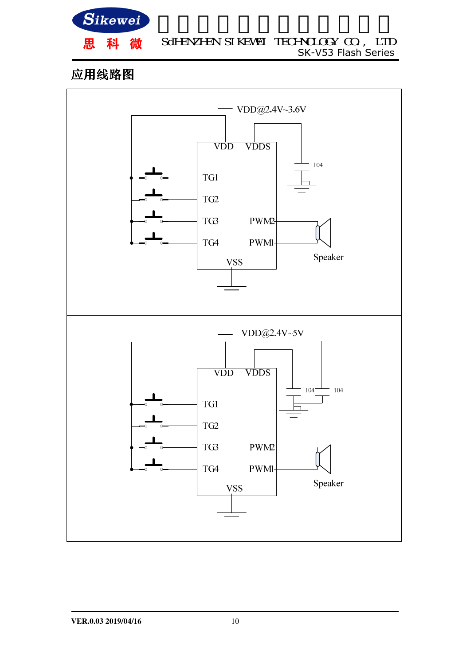

## 应用线路图

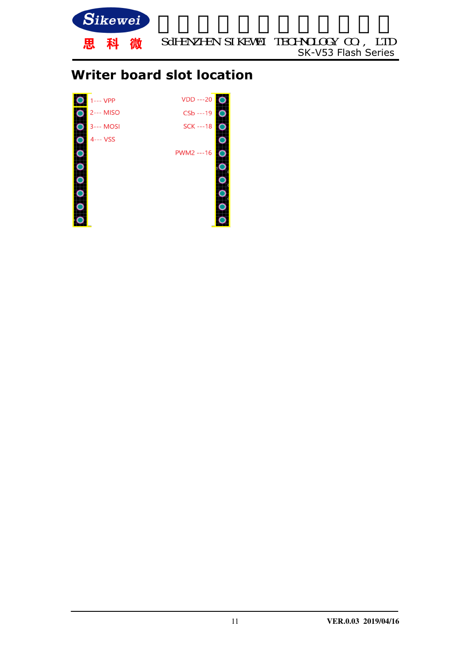

## **Writer board slot location**

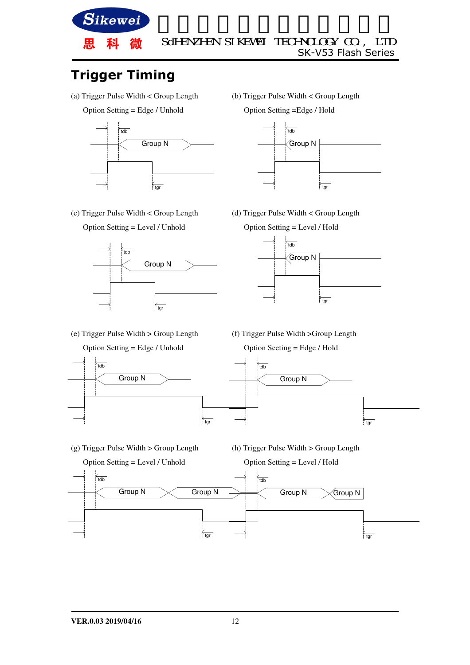

## **Trigger Timing**

- (a) Trigger Pulse Width < Group Length
	- Option Setting = Edge / Unhold



- 
- (c) Trigger Pulse Width < Group Length





(b) Trigger Pulse Width < Group Length

Option Setting =Edge / Hold



(d) Trigger Pulse Width < Group Length



(e) Trigger Pulse Width > Group Length



(f) Trigger Pulse Width >Group Length



- (g) Trigger Pulse Width > Group Length
- (h) Trigger Pulse Width > Group Length

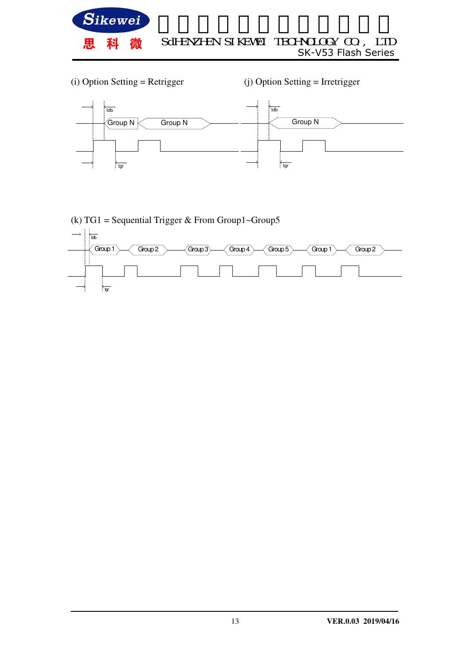

(i) Option Setting = Retrigger (j) Option Setting = Irretrigger



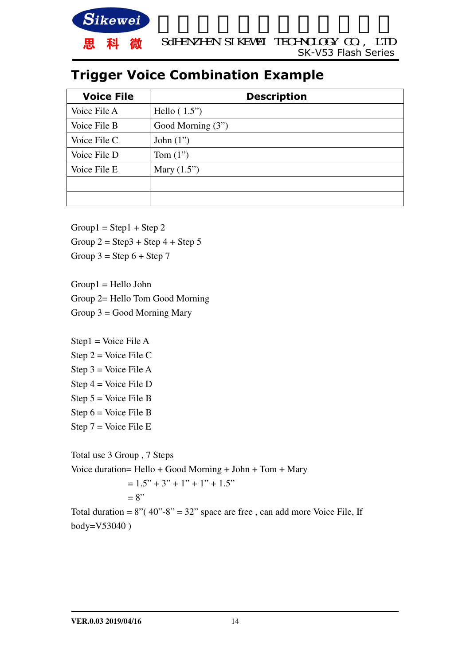

## **Trigger Voice Combination Example**

| <b>Voice File</b> | <b>Description</b> |
|-------------------|--------------------|
| Voice File A      | Hello $(1.5")$     |
| Voice File B      | Good Morning (3")  |
| Voice File C      | John $(1")$        |
| Voice File D      | Tom $(1")$         |
| Voice File E      | Mary $(1.5")$      |
|                   |                    |
|                   |                    |

 $Group1 = Step1 + Step2$ 

Group  $2 =$  Step 3 + Step 4 + Step 5

Group  $3 =$  Step  $6 +$  Step  $7$ 

Group1 = Hello John Group 2= Hello Tom Good Morning

Group  $3 =$  Good Morning Mary

Step1 = Voice File A Step  $2 = \text{Voice File C}$ Step  $3$  = Voice File A Step 4 = Voice File D Step 5 = Voice File B Step  $6 = \text{Voice File B}$ Step  $7 = \text{Voice File}$  E

Total use 3 Group , 7 Steps Voice duration= Hello + Good Morning + John + Tom + Mary  $= 1.5" + 3" + 1" + 1" + 1.5"$  $= 8"$ 

Total duration =  $8''(40" - 8" = 32"$  space are free, can add more Voice File, If body=V53040 )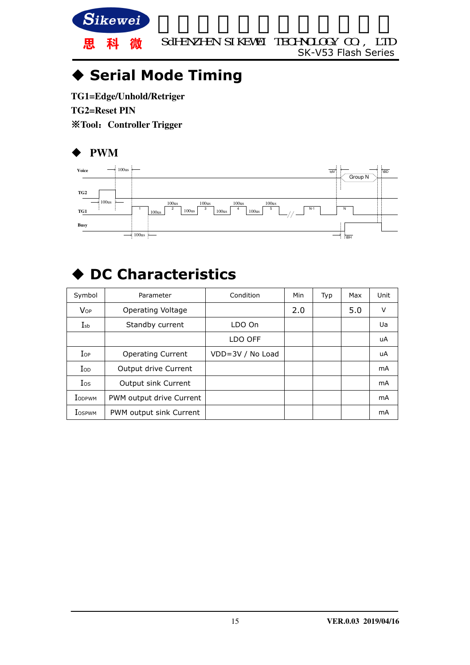

## **Serial Mode Timing**

**TG1=Edge/Unhold/Retriger TG2=Reset PIN**  ※**Tool**:**Controller Trigger** 

#### **PWM**



# **DC Characteristics**

| Symbol                 | Parameter                | Condition        | Min | Typ | Max | Unit |
|------------------------|--------------------------|------------------|-----|-----|-----|------|
| <b>V</b> <sub>OP</sub> | Operating Voltage        |                  | 2.0 |     | 5.0 | V    |
| $I_{sb}$               | Standby current          | LDO On           |     |     |     | Ua   |
|                        |                          | LDO OFF          |     |     |     | uA   |
| $I_{OP}$               | <b>Operating Current</b> | VDD=3V / No Load |     |     |     | uA   |
| $\rm{IoD}$             | Output drive Current     |                  |     |     |     | mA   |
| <b>I</b> os            | Output sink Current      |                  |     |     |     | mA   |
| <b>I</b> ODPWM         | PWM output drive Current |                  |     |     |     | mA   |
| <b>I</b> OSPWM         | PWM output sink Current  |                  |     |     |     | mA   |